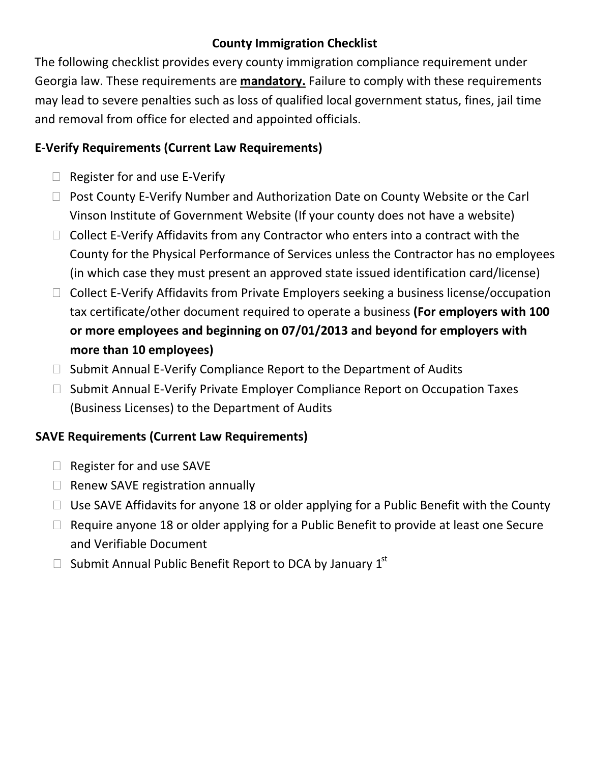# **County Immigration Checklist**

The following checklist provides every county immigration compliance requirement under Georgia law. These requirements are **mandatory.** Failure to comply with these requirements may lead to severe penalties such as loss of qualified local government status, fines, jail time and removal from office for elected and appointed officials.

## **E‐Verify Requirements (Current Law Requirements)**

- $\Box$  Register for and use E-Verify
- □ Post County E-Verify Number and Authorization Date on County Website or the Carl Vinson Institute of Government Website (If your county does not have a website)
- □ Collect E-Verify Affidavits from any Contractor who enters into a contract with the County for the Physical Performance of Services unless the Contractor has no employees (in which case they must present an approved state issued identification card/license)
- □ Collect E-Verify Affidavits from Private Employers seeking a business license/occupation tax certificate/other document required to operate a business **(For employers with 100 or more employees and beginning on 07/01/2013 and beyond for employers with more than 10 employees)**
- $\Box$  Submit Annual E-Verify Compliance Report to the Department of Audits
- □ Submit Annual E-Verify Private Employer Compliance Report on Occupation Taxes (Business Licenses) to the Department of Audits

# **SAVE Requirements (Current Law Requirements)**

- $\Box$  Register for and use SAVE
- $\Box$  Renew SAVE registration annually
- $\Box$  Use SAVE Affidavits for anyone 18 or older applying for a Public Benefit with the County
- $\Box$  Require anyone 18 or older applying for a Public Benefit to provide at least one Secure and Verifiable Document
- $\Box$  Submit Annual Public Benefit Report to DCA by January  $1^\text{st}$